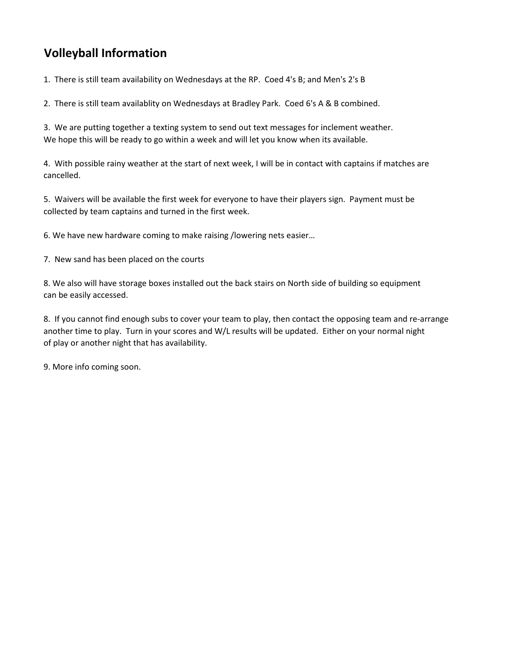### **Volleyball Information**

1. There is still team availability on Wednesdays at the RP. Coed 4's B; and Men's 2's B

2. There is still team availablity on Wednesdays at Bradley Park. Coed 6's A & B combined.

3. We are putting together a texting system to send out text messages for inclement weather. We hope this will be ready to go within a week and will let you know when its available.

4. With possible rainy weather at the start of next week, I will be in contact with captains if matches are cancelled.

5. Waivers will be available the first week for everyone to have their players sign. Payment must be collected by team captains and turned in the first week.

6. We have new hardware coming to make raising /lowering nets easier…

7. New sand has been placed on the courts

8. We also will have storage boxes installed out the back stairs on North side of building so equipment can be easily accessed.

8. If you cannot find enough subs to cover your team to play, then contact the opposing team and re-arrange another time to play. Turn in your scores and W/L results will be updated. Either on your normal night of play or another night that has availability.

9. More info coming soon.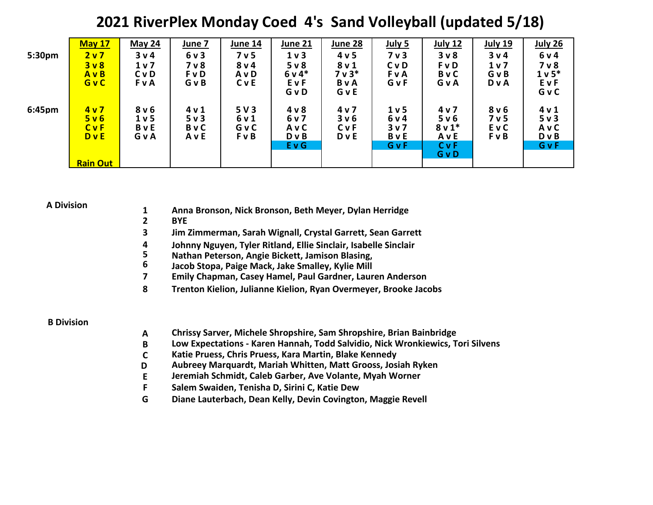## **2021 RiverPlex Monday Coed 4's Sand Volleyball (updated 5/18)**

|        | May 17           | May 24           | June 7      | June 14          | June 21        | June 28          | July 5         | <b>July 12</b> | <b>July 19</b>   | <b>July 26</b>   |
|--------|------------------|------------------|-------------|------------------|----------------|------------------|----------------|----------------|------------------|------------------|
| 5:30pm | 2 <sub>v</sub>   | 3 <sub>v</sub> 4 | 6 v 3       | 7 v 5            | 1 <sub>v</sub> | 4 v 5            | 7 <sub>v</sub> | 3 <sub>v</sub> | 3 v 4            | 6 v 4            |
|        | 3v8              | 1 <sub>v</sub>   | 7 v 8       | 8 <sub>v</sub> 4 | 5 <sub>v</sub> | 8 v 1            | <b>C</b> v D   | <b>FvD</b>     | 1 <sub>v</sub>   | 7 <sub>v</sub>   |
|        | <b>AvB</b>       | CvD              | <b>FvD</b>  | AvD              | $6 v 4*$       | $7 v 3*$         | <b>FvA</b>     | <b>B</b> v C   | GvB              | $1 v 5*$         |
|        | GvC              | <b>FvA</b>       | GvB         | CvE              | EvF            | <b>B</b> v A     | GvF            | GvA            | D <sub>V</sub>   | EvF              |
|        |                  |                  |             |                  | GvD            | GvE              |                |                |                  | GvC              |
| 6:45pm | 4v7              | 8 <sub>v</sub> 6 | 4 v 1       | 5 V 3            | 4 v 8          | 4 v 7            | 1 <sub>v</sub> | 4 v 7          | 8 <sub>v</sub> 6 | 4 <sub>v</sub> 1 |
|        | 5 <sub>v</sub> 6 | 1 <sub>v</sub>   | $5v$ 3      | 6 v 1            | 6 v 7          | 3 <sub>v</sub> 6 | 6 v 4          | 5 v 6          | 7 v 5            | 5 <sub>v</sub>   |
|        | CVF              | <b>B</b> v E     | <b>B</b> vC | GvC              | <b>AvC</b>     | <b>C</b> v F     | 3 <sub>v</sub> | $8v1*$         | <b>EvC</b>       | AvC              |
|        | $D$ v E          | GvA              | AvE         | <b>FvB</b>       | D v B          | <b>D</b> v E     | BvE            | AvE            | <b>F</b> v B     | $D \vee B$       |
|        |                  |                  |             |                  | <b>EvG</b>     |                  | GvF            | <b>C</b> v F   |                  | GvF              |
|        |                  |                  |             |                  |                |                  |                | GvD            |                  |                  |
|        | <b>Rain Out</b>  |                  |             |                  |                |                  |                |                |                  |                  |

#### **A Division**

| 1              | Anna Bronson, Nick Bronson, Beth Meyer, Dylan Herridge          |
|----------------|-----------------------------------------------------------------|
| $\overline{2}$ | <b>BYF</b>                                                      |
| 3              | Jim Zimmerman, Sarah Wignall, Crystal Garrett, Sean Garrett     |
| 4              | Johnny Nguyen, Tyler Ritland, Ellie Sinclair, Isabelle Sinclair |
| 5              | Nathan Peterson, Angie Bickett, Jamison Blasing,                |
| 6              | Jacob Stopa, Paige Mack, Jake Smalley, Kylie Mill               |
| 7              | Emily Chapman, Casey Hamel, Paul Gardner, Lauren Anderson       |

**8 Trenton Kielion, Julianne Kielion, Ryan Overmeyer, Brooke Jacobs**

### **B Division**

- **A Chrissy Sarver, Michele Shropshire, Sam Shropshire, Brian Bainbridge**
- **B Low Expectations Karen Hannah, Todd Salvidio, Nick Wronkiewics, Tori Silvens**
- **C Katie Pruess, Chris Pruess, Kara Martin, Blake Kennedy**
- **D Aubreey Marquardt, Mariah Whitten, Matt Grooss, Josiah Ryken**
- **E Jeremiah Schmidt, Caleb Garber, Ave Volante, Myah Worner**
- **F Salem Swaiden, Tenisha D, Sirini C, Katie Dew**
- **G Diane Lauterbach, Dean Kelly, Devin Covington, Maggie Revell**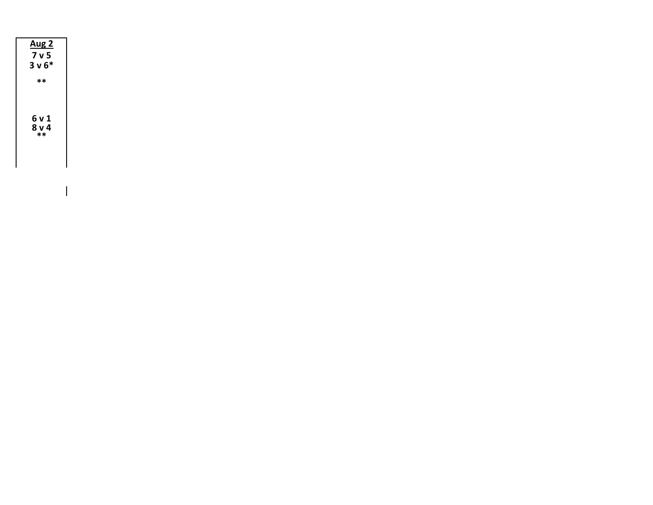

 $\overline{\phantom{a}}$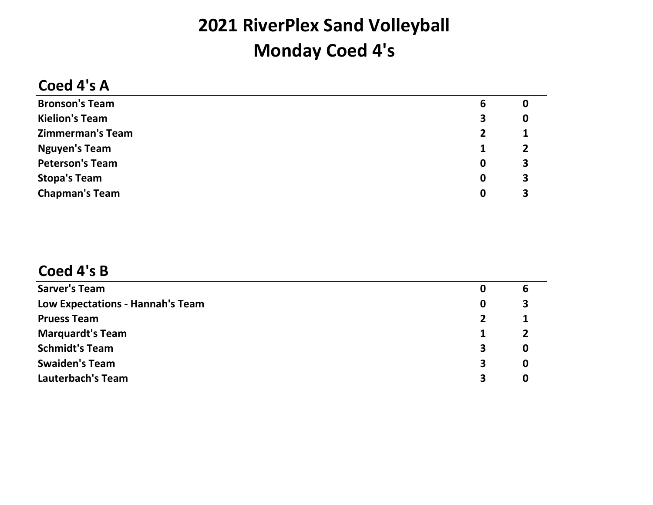# **2021 RiverPlex Sand Volleyball Monday Coed 4's**

## **Coed 4's A**

| <b>Bronson's Team</b>   | 6 | 0 |
|-------------------------|---|---|
| <b>Kielion's Team</b>   | 3 | 0 |
| <b>Zimmerman's Team</b> |   |   |
| <b>Nguyen's Team</b>    |   |   |
| <b>Peterson's Team</b>  | 0 | 3 |
| <b>Stopa's Team</b>     | 0 | 3 |
| <b>Chapman's Team</b>   | 0 | 3 |

## **Coed 4's B**

| <b>Sarver's Team</b>             | 0 | 6 |
|----------------------------------|---|---|
| Low Expectations - Hannah's Team | 0 | 3 |
| <b>Pruess Team</b>               |   |   |
| <b>Marquardt's Team</b>          |   |   |
| <b>Schmidt's Team</b>            | 3 | 0 |
| <b>Swaiden's Team</b>            | 3 | 0 |
| <b>Lauterbach's Team</b>         |   |   |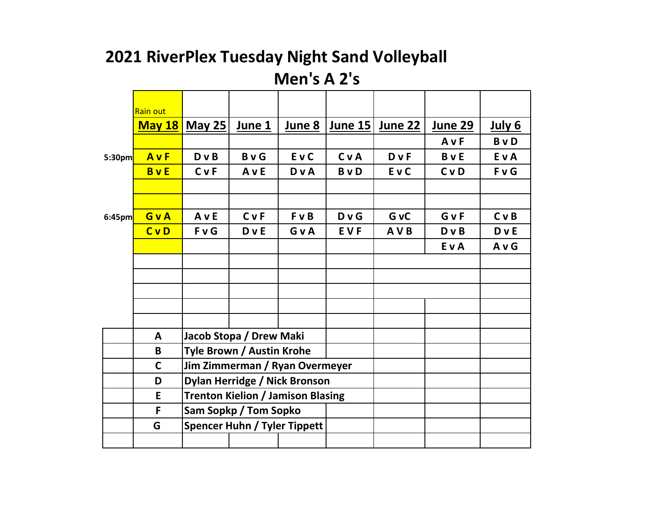# **2021 RiverPlex Tuesday Night Sand Volleyball**

**Men's A 2's**

|                    | Rain out       |               |                                          |                |                |                  |                |                  |
|--------------------|----------------|---------------|------------------------------------------|----------------|----------------|------------------|----------------|------------------|
|                    | <b>May 18</b>  | <b>May 25</b> | June 1                                   | June 8         | <b>June 15</b> | <b>June 22</b>   | June 29        | July 6           |
|                    |                |               |                                          |                |                |                  | AvF            | <b>B</b> v D     |
| 5:30 <sub>pm</sub> | AvF            | $D \vee B$    | BvG                                      | E v C          | CvA            | D <sub>v</sub> F | <b>B</b> v E   | <b>EvA</b>       |
|                    | <b>B</b> v E   | <b>C</b> v F  | <b>A</b> v E                             | D <sub>v</sub> | <b>B</b> v D   | E v C            | C <sub>V</sub> | FvG              |
|                    |                |               |                                          |                |                |                  |                |                  |
|                    |                |               |                                          |                |                |                  |                |                  |
| $6:45$ pm          | GvA            | AvE           | CvF                                      | $F \vee B$     | D <sub>v</sub> | G vC             | GvF            | C <sub>V</sub> B |
|                    | C <sub>v</sub> | <b>FvG</b>    | $D$ v E                                  | GvA            | <b>EVF</b>     | <b>AVB</b>       | $D \vee B$     | $D$ v E          |
|                    |                |               |                                          |                |                |                  | <b>EvA</b>     | AvG              |
|                    |                |               |                                          |                |                |                  |                |                  |
|                    |                |               |                                          |                |                |                  |                |                  |
|                    |                |               |                                          |                |                |                  |                |                  |
|                    |                |               |                                          |                |                |                  |                |                  |
|                    |                |               |                                          |                |                |                  |                |                  |
|                    | A              |               | Jacob Stopa / Drew Maki                  |                |                |                  |                |                  |
|                    | B              |               | Tyle Brown / Austin Krohe                |                |                |                  |                |                  |
|                    | $\mathsf{C}$   |               | Jim Zimmerman / Ryan Overmeyer           |                |                |                  |                |                  |
|                    | D              |               | <b>Dylan Herridge / Nick Bronson</b>     |                |                |                  |                |                  |
|                    | E              |               | <b>Trenton Kielion / Jamison Blasing</b> |                |                |                  |                |                  |
|                    | F              |               | Sam Sopkp / Tom Sopko                    |                |                |                  |                |                  |
|                    | G              |               | Spencer Huhn / Tyler Tippett             |                |                |                  |                |                  |
|                    |                |               |                                          |                |                |                  |                |                  |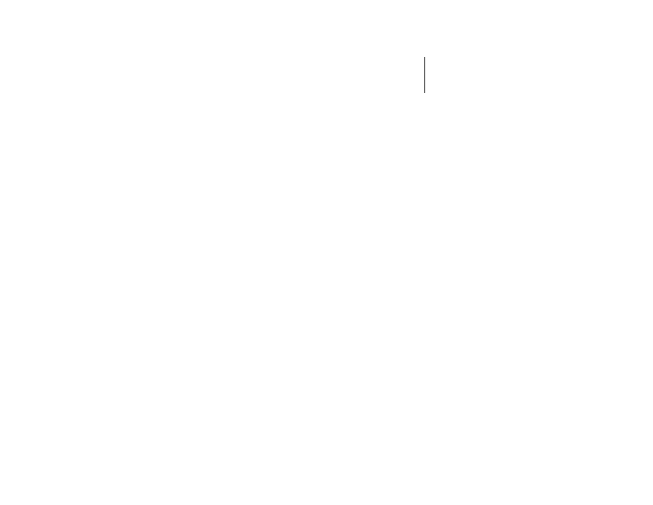$\mathcal{L}_{\mathcal{A}}$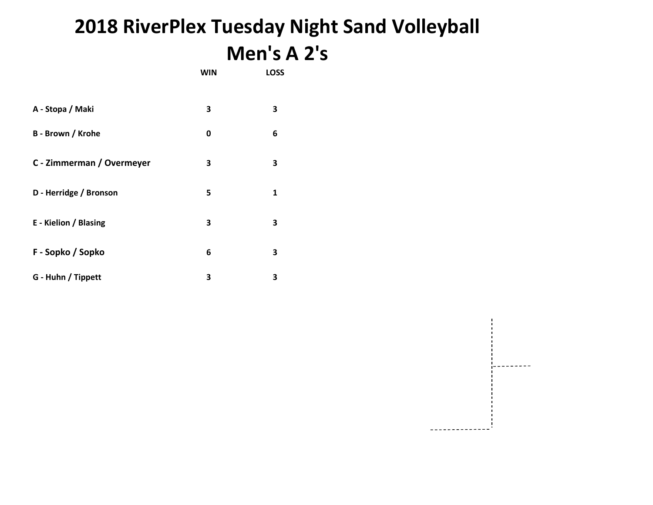# **2018 RiverPlex Tuesday Night Sand Volleyball Men's A 2's**

|                           | <b>WIN</b> | <b>LOSS</b> |
|---------------------------|------------|-------------|
| A - Stopa / Maki          | 3          | 3           |
| B - Brown / Krohe         | 0          | 6           |
| C - Zimmerman / Overmeyer | 3          | 3           |
| D - Herridge / Bronson    | 5          | 1           |
| E - Kielion / Blasing     | 3          | 3           |
| F - Sopko / Sopko         | 6          | 3           |
| G - Huhn / Tippett        | З          | 3           |

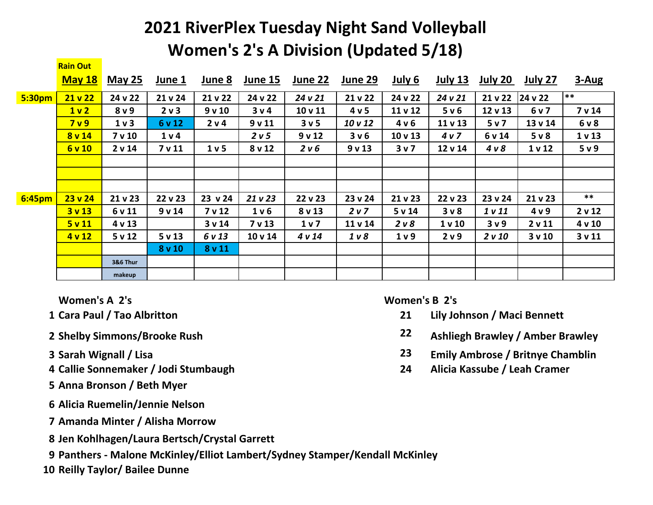## **2021 RiverPlex Tuesday Night Sand Volleyball Women's 2's A Division (Updated 5/18)**

|               | <b>Rain Out</b>  |                     |                |                |                    |                    |                |                    |                   |                  |                   |                   |
|---------------|------------------|---------------------|----------------|----------------|--------------------|--------------------|----------------|--------------------|-------------------|------------------|-------------------|-------------------|
|               | <b>May 18</b>    | <b>May 25</b>       | June 1         | June 8         | June 15            | June 22            | June 29        | <u>July 6</u>      | <u>July 13</u>    | <b>July 20</b>   | <b>July 27</b>    | 3-Aug             |
| <b>5:30pm</b> | 21 v 22          | 24 v 22             | 21 v 24        | 21 v 22        | 24 v 22            | 24 v 21            | 21 v 22        | 24 v 22            | 24 v 21           | 21 v 22          | 24 v 22           | $***$             |
|               | 1 <sub>v</sub>   | 8 v 9               | 2 v 3          | 9v10           | 3 v 4              | 10 <sub>v</sub> 11 | 4 v 5          | 11 v 12            | 5 v 6             | 12 v 13          | 6 v 7             | 7 v 14            |
|               | 7 <sub>v</sub> 9 | 1 <sub>v</sub>      | 6 v 12         | 2 v 4          | 9 v 11             | 3 <sub>v</sub> 5   | 10 v 12        | 4 v 6              | 11 v 13           | 5 v 7            | 13 v 14           | 6 v 8             |
|               | 8v14             | 7 v 10              | 1 <sub>v</sub> |                | 2 v 5              | 9v12               | 3 v 6          | 10 <sub>v</sub> 13 | 4 v 7             | 6 v 14           | 5 <sub>v</sub>    | 1 <sub>v</sub> 13 |
|               | 6v10             | 2 v 14              | 7 v 11         | 1 <sub>v</sub> | 8 v 12             | 2 v 6              | 9 v 13         | 3 <sub>v</sub>     | 12 v 14           | 4 v 8            | 1 <sub>v</sub> 12 | 5 v 9             |
|               |                  |                     |                |                |                    |                    |                |                    |                   |                  |                   |                   |
|               |                  |                     |                |                |                    |                    |                |                    |                   |                  |                   |                   |
|               |                  |                     |                |                |                    |                    |                |                    |                   |                  |                   |                   |
| 6:45pm        | 23 v 24          | 21 v 23             | 22 v 23        | 23 v 24        | 21 v 23            | 22 v 23            | 23 v 24        | 21 v 23            | 22 v 23           | 23 v 24          | 21 v 23           | $***$             |
|               | 3v13             | 6 v 11              | 9 v 14         | 7 v 12         | 1 v 6              | 8 v 13             | 2 v 7          | 5 v 14             | 3 <sub>v</sub>    | 1 v 11           | 4 v 9             | 2 v 12            |
|               | 5v11             | 4 v 13              |                | 3v14           | 7 <sub>v</sub> 13  | 1 <sub>v</sub>     | 11 v 14        | 2 <sub>v</sub>     | 1 <sub>v</sub> 10 | 3 <sub>v</sub> 9 | 2 v 11            | 4 v 10            |
|               | 4v12             | 5 v 12              | 5v13           | 6 v 13         | 10 <sub>v</sub> 14 | 4 v 14             | 1 <sub>v</sub> | 1 <sub>v</sub>     | 2 v 9             | 2 v 10           | 3v10              | 3v11              |
|               |                  |                     | 8 v 10         | 8 v 11         |                    |                    |                |                    |                   |                  |                   |                   |
|               |                  | <b>3&amp;6 Thur</b> |                |                |                    |                    |                |                    |                   |                  |                   |                   |
|               |                  | makeup              |                |                |                    |                    |                |                    |                   |                  |                   |                   |

- 
- 
- 
- **4 Callie Sonnemaker / Jodi Stumbaugh 24 Alicia Kassube / Leah Cramer**
- **5 Anna Bronson / Beth Myer**
- **6 Alicia Ruemelin/Jennie Nelson**
- **7 Amanda Minter / Alisha Morrow**
- **8 Jen Kohlhagen/Laura Bertsch/Crystal Garrett**
- **9 Panthers Malone McKinley/Elliot Lambert/Sydney Stamper/Kendall McKinley**
- **10 Reilly Taylor/ Bailee Dunne**

### **Women's A 2's Women's B 2's**

- **1 Cara Paul / Tao Albritton 21 Lily Johnson / Maci Bennett**
- **2 Shelby Simmons/Brooke Rush 22 Ashliegh Brawley / Amber Brawley**
- **3 Sarah Wignall / Lisa 23 Emily Ambrose / Britnye Chamblin**
	-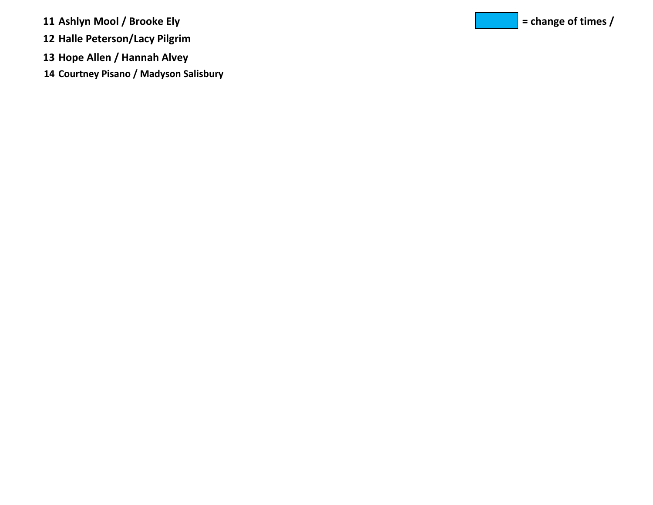- 
- **Halle Peterson/Lacy Pilgrim**
- **Hope Allen / Hannah Alvey**
- **Courtney Pisano / Madyson Salisbury**

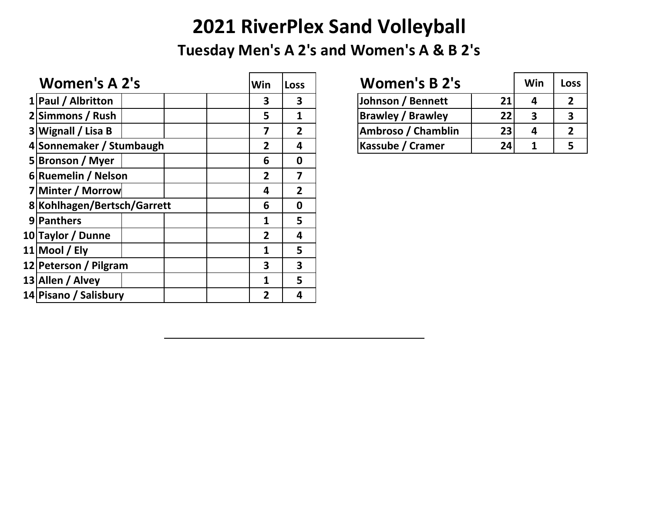# **2021 RiverPlex Sand Volleyball**

**Tuesday Men's A 2's and Women's A & B 2's**

| <b>Women's A 2's</b>        | Win            | Loss           | <b>Women's B 2's</b>     |    | Win |
|-----------------------------|----------------|----------------|--------------------------|----|-----|
| 1 Paul / Albritton          | $\mathbf{3}$   | 3              | Johnson / Bennett        | 21 | 4   |
| 2 Simmons / Rush            | 5              | 1              | <b>Brawley / Brawley</b> | 22 | 3   |
| 3 Wignall / Lisa B          | 7              | $\overline{2}$ | Ambroso / Chamblin       | 23 | 4   |
| 4 Sonnemaker / Stumbaugh    | $\overline{2}$ | 4              | Kassube / Cramer         | 24 | 1   |
| 5 Bronson / Myer            | 6              | $\mathbf 0$    |                          |    |     |
| 6 Ruemelin / Nelson         | $\overline{2}$ | $\overline{ }$ |                          |    |     |
| 7 Minter / Morrow           | 4              | $\overline{2}$ |                          |    |     |
| 8 Kohlhagen/Bertsch/Garrett | 6              | $\mathbf 0$    |                          |    |     |
| 9 Panthers                  | 1              | 5              |                          |    |     |
| 10 Taylor / Dunne           | $\overline{2}$ | 4              |                          |    |     |
| 11 Mool / Ely               | 1              | 5              |                          |    |     |
| 12 Peterson / Pilgram       | 3              | 3              |                          |    |     |
| 13 Allen / Alvey            | 1              | 5              |                          |    |     |
| 14 Pisano / Salisbury       | 2              | 4              |                          |    |     |

| <b>Women's B 2's</b>      |                 | Win | Loss |
|---------------------------|-----------------|-----|------|
| Johnson / Bennett         | 21              |     |      |
| <b>Brawley / Brawley</b>  | 221             |     |      |
| <b>Ambroso / Chamblin</b> | 23 <sub>l</sub> |     |      |
| <b>Kassube / Cramer</b>   | 24              |     |      |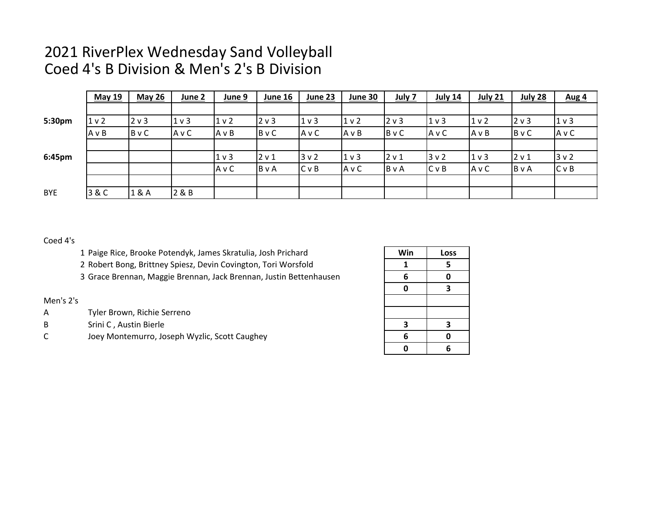## 2021 RiverPlex Wednesday Sand Volleyball Coed 4's B Division & Men's 2's B Division

|            | <b>May 19</b>  | May 26         | June 2         | June 9         | June 16                      | June 23        | June 30        | July 7 | <b>July 14</b> | <b>July 21</b> | <b>July 28</b>   | Aug 4          |
|------------|----------------|----------------|----------------|----------------|------------------------------|----------------|----------------|--------|----------------|----------------|------------------|----------------|
|            |                |                |                |                |                              |                |                |        |                |                |                  |                |
| 5:30pm     | 1 <sub>v</sub> | 2 <sub>v</sub> | 1 <sub>v</sub> | 1 <sub>v</sub> | $ 2 \vee 3$                  | 1 <sub>v</sub> | 1 <sub>v</sub> | 2 v 3  | 1 <sub>v</sub> | 1 <sub>v</sub> | 2 <sub>v</sub>   | 1 <sub>v</sub> |
|            | IA v B         | IB v C         | AvC            | A v B          | BVC                          | A v C          | IA v B         | BvC    | AvC            | A v B          | <b>B</b> v C     | AvC            |
|            |                |                |                |                |                              |                |                |        |                |                |                  |                |
| 6:45pm     |                |                |                | 1 <sub>v</sub> | $2 \vee 1$                   | 3 v 2          | 1 <sub>v</sub> | 2 v 1  | 3v2            | 1 <sub>v</sub> | 2 <sub>v</sub> 1 | 3 v 2          |
|            |                |                |                | AvC            | $\mathsf{B} \vee \mathsf{A}$ | C v B          | AvC            | B v A  | C v B          | AvC            | IB v A           | C v B          |
|            |                |                |                |                |                              |                |                |        |                |                |                  |                |
| <b>BYE</b> | 3 & C          | 1 & A          | 2 & B          |                |                              |                |                |        |                |                |                  |                |

### Coed 4's

1 Paige Rice, Brooke Potendyk, James Skratulia, Josh Prichard

2 Robert Bong, Brittney Spiesz, Devin Covington, Tori Worsfold **1 5**

3 Grace Brennan, Maggie Brennan, Jack Brennan, Justin Bettenhausen **6 0**

Men's 2's

- A Tyler Brown, Richie Serreno
- B Srini C , Austin Bierle **3 3**
- C Joey Montemurro, Joseph Wyzlic, Scott Caughey **6 0**

| Win | Loss |
|-----|------|
| 1   | 5    |
| 6   | 0    |
| 0   | 3    |
|     |      |
|     |      |
| 3   | 3    |
| 6   | 0    |
| 0   | 6    |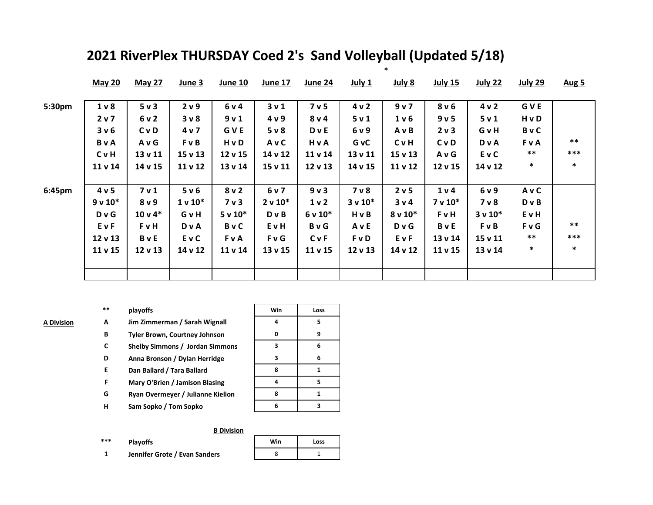|        | <b>May 20</b>                                                             | <b>May 27</b>                                                                        | June 3                                                              | June 10                                                      | June 17                                                                      | <b>June 24</b>                                                                                     | July 1                                                    | July 8                                                              | <b>July 15</b>                                                                    | <b>July 22</b>                                                  | <b>July 29</b>                                                  | <b>Aug 5</b>           |
|--------|---------------------------------------------------------------------------|--------------------------------------------------------------------------------------|---------------------------------------------------------------------|--------------------------------------------------------------|------------------------------------------------------------------------------|----------------------------------------------------------------------------------------------------|-----------------------------------------------------------|---------------------------------------------------------------------|-----------------------------------------------------------------------------------|-----------------------------------------------------------------|-----------------------------------------------------------------|------------------------|
| 5:30pm | 1 <sub>v</sub><br>2 <sub>v</sub><br>3 v 6<br><b>B</b> v A<br><b>C</b> v H | $5v$ 3<br>6 v 2<br><b>C</b> v D<br>A v G<br>13 v 11                                  | 2 v 9<br>3 <sub>v</sub><br>4v7<br><b>FvB</b><br>15 v 13             | 6 v 4<br>9 <sub>v</sub> 1<br><b>GVE</b><br>HvD<br>12 v 15    | 3 <sub>v</sub> 1<br>4 v 9<br>5 v 8<br>A v C<br>14 v 12                       | 7 v 5<br>$8v$ 4<br><b>D</b> v E<br>HvA<br>11 v 14                                                  | 4 v 2<br>5 v 1<br>6 v 9<br>G vC<br>13 v 11                | 9 v 7<br>1 v 6<br>A v B<br><b>C</b> v H<br>$15 \vee 13$             | 8 <sub>v</sub> 6<br>9 <sub>v</sub> 5<br>2 v 3<br><b>C</b> v D<br>A v G            | 4 v 2<br>5 <sub>v</sub> 1<br>GvH<br><b>D</b> vA<br>EvC          | <b>GVE</b><br><b>H</b> v D<br><b>B</b> v C<br><b>FvA</b><br>**  | $***$<br>$***$         |
|        | 11 v 14                                                                   | 14 v 15                                                                              | 11 v 12                                                             | 13 v 14                                                      | 15 v 11                                                                      | 12 v 13                                                                                            | 14 v 15                                                   | 11 v 12                                                             | 12 v 15                                                                           | 14 v 12                                                         | $\ast$                                                          | $\ast$                 |
| 6:45pm | 4 v 5<br>$9 v 10*$<br>$DV$ G<br>EvF<br>12 v 13<br>11 <sub>v</sub> 15      | 7 <sub>v</sub> 1<br>8 <sub>v</sub> 9<br>$10v4*$<br><b>FvH</b><br>BvE<br>$12 \vee 13$ | 5 v 6<br>$1 v 10^*$<br>GvH<br><b>D</b> v A<br><b>EvC</b><br>14 v 12 | $8v$ 2<br>7 v 3<br>$5 v 10*$<br>BvC<br><b>FvA</b><br>11 v 14 | 6 v 7<br>$2 v 10*$<br>$D \vee B$<br><b>EvH</b><br><b>FvG</b><br>$13 \vee 15$ | 9 <sub>v</sub><br>1 <sub>v</sub><br>$6 v 10*$<br><b>B</b> v G<br><b>C</b> vF<br>11 <sub>v</sub> 15 | 7 v 8<br>$3 v 10*$<br>HvB<br>AvE<br><b>FvD</b><br>12 v 13 | 2 v 5<br>3 v 4<br>$8 \vee 10^*$<br>D <sub>V</sub><br>EvF<br>14 v 12 | 1 <sub>v</sub><br>$7 v 10*$<br><b>FvH</b><br>BvE<br>13 v 14<br>11 <sub>v</sub> 15 | 6 v 9<br>7 v 8<br>$3 v 10*$<br><b>FvB</b><br>15 v 11<br>13 v 14 | A v C<br>$D \vee B$<br><b>EvH</b><br><b>FvG</b><br>**<br>$\ast$ | $***$<br>***<br>$\ast$ |
|        |                                                                           |                                                                                      |                                                                     |                                                              |                                                                              |                                                                                                    |                                                           |                                                                     |                                                                                   |                                                                 |                                                                 |                        |

\*

## **2021 RiverPlex THURSDAY Coed 2's Sand Volleyball (Updated 5/18)**

### **\*\* playoffs Win Loss**

**A Division A Jim Zimmerman / Sarah Wignall 4 5**

**B Tyler Brown, Courtney Johnson 0 9**

**C Shelby Simmons / Jordan Simmons 3 6**

**D Anna Bronson / Dylan Herridge 3 6**

- **E Dan Ballard / Tara Ballard 8 1**
- **F Mary O'Brien / Jamison Blasing 4 5**

**G Ryan Overmeyer / Julianne Kielion 8 1**

**H Sam Sopko / Tom Sopko 6 3**

| Win | Loss |
|-----|------|
| 4   | 5    |
| 0   | 9    |
| 3   | 6    |
| 3   | 6    |
| 8   | 1    |
| 4   | 5    |
| 8   | 1    |
| 6   | 3    |

**B Division**

**\*\*\* Playoffs Win Loss**

**1 Jennifer Grote / Evan Sanders** 

| Win | Loss |
|-----|------|
| 8   |      |